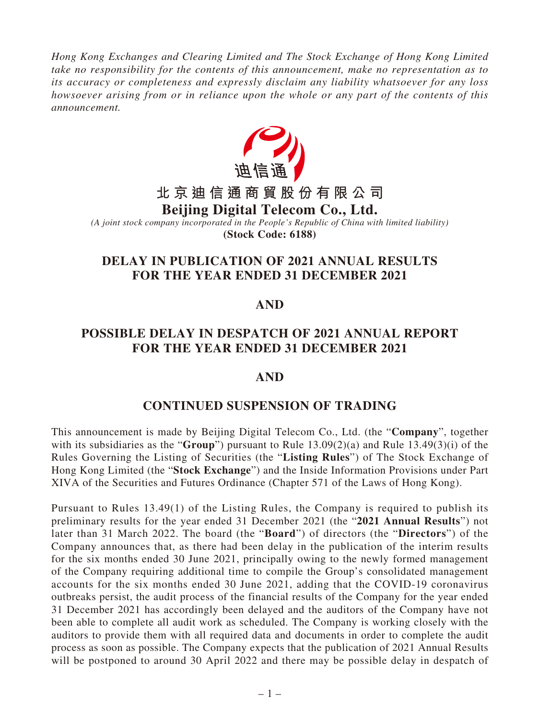*Hong Kong Exchanges and Clearing Limited and The Stock Exchange of Hong Kong Limited take no responsibility for the contents of this announcement, make no representation as to its accuracy or completeness and expressly disclaim any liability whatsoever for any loss howsoever arising from or in reliance upon the whole or any part of the contents of this announcement.*



*(A joint stock company incorporated in the People's Republic of China with limited liability)* **(Stock Code: 6188)**

# **DELAY IN PUBLICATION OF 2021 ANNUAL RESULTS FOR THE YEAR ENDED 31 DECEMBER 2021**

## **AND**

### **POSSIBLE DELAY IN DESPATCH OF 2021 ANNUAL REPORT FOR THE YEAR ENDED 31 DECEMBER 2021**

### **AND**

### **CONTINUED SUSPENSION OF TRADING**

This announcement is made by Beijing Digital Telecom Co., Ltd. (the "**Company**", together with its subsidiaries as the "**Group**") pursuant to Rule 13.09(2)(a) and Rule 13.49(3)(i) of the Rules Governing the Listing of Securities (the "**Listing Rules**") of The Stock Exchange of Hong Kong Limited (the "**Stock Exchange**") and the Inside Information Provisions under Part XIVA of the Securities and Futures Ordinance (Chapter 571 of the Laws of Hong Kong).

Pursuant to Rules 13.49(1) of the Listing Rules, the Company is required to publish its preliminary results for the year ended 31 December 2021 (the "**2021 Annual Results**") not later than 31 March 2022. The board (the "**Board**") of directors (the "**Directors**") of the Company announces that, as there had been delay in the publication of the interim results for the six months ended 30 June 2021, principally owing to the newly formed management of the Company requiring additional time to compile the Group's consolidated management accounts for the six months ended 30 June 2021, adding that the COVID-19 coronavirus outbreaks persist, the audit process of the financial results of the Company for the year ended 31 December 2021 has accordingly been delayed and the auditors of the Company have not been able to complete all audit work as scheduled. The Company is working closely with the auditors to provide them with all required data and documents in order to complete the audit process as soon as possible. The Company expects that the publication of 2021 Annual Results will be postponed to around 30 April 2022 and there may be possible delay in despatch of